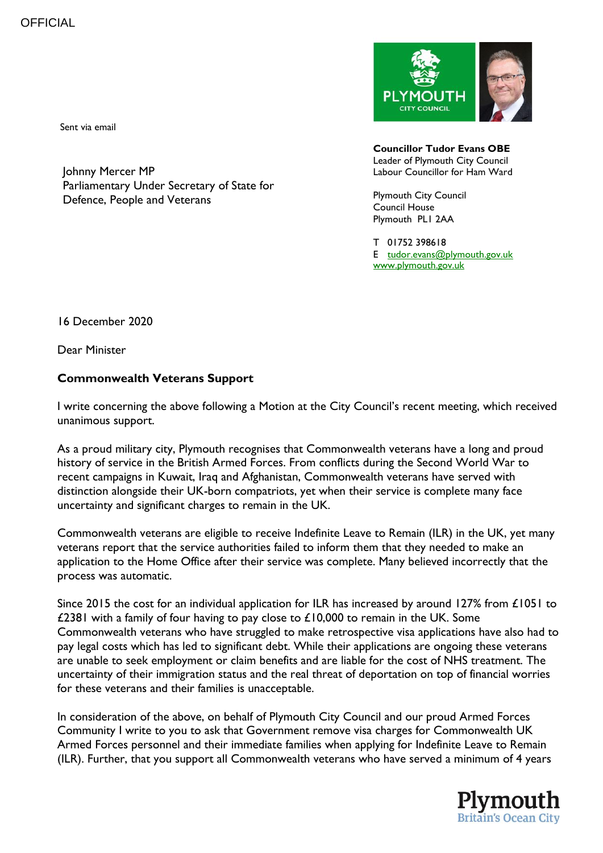Sent via email

Johnny Mercer MP Parliamentary Under Secretary of State for Defence, People and Veterans



**Councillor Tudor Evans OBE** Leader of Plymouth City Council Labour Councillor for Ham Ward

Plymouth City Council Council House Plymouth PL1 2AA

T 01752 398618 E [tudor.evans@plymouth.gov.uk](mailto:tudor.evans@plymouth.gov.uk) [www.plymouth.gov.uk](http://www.plymouth.gov.uk/)

16 December 2020

Dear Minister

## **Commonwealth Veterans Support**

I write concerning the above following a Motion at the City Council's recent meeting, which received unanimous support.

As a proud military city, Plymouth recognises that Commonwealth veterans have a long and proud history of service in the British Armed Forces. From conflicts during the Second World War to recent campaigns in Kuwait, Iraq and Afghanistan, Commonwealth veterans have served with distinction alongside their UK-born compatriots, yet when their service is complete many face uncertainty and significant charges to remain in the UK.

Commonwealth veterans are eligible to receive Indefinite Leave to Remain (ILR) in the UK, yet many veterans report that the service authorities failed to inform them that they needed to make an application to the Home Office after their service was complete. Many believed incorrectly that the process was automatic.

Since 2015 the cost for an individual application for ILR has increased by around 127% from £1051 to £2381 with a family of four having to pay close to £10,000 to remain in the UK. Some Commonwealth veterans who have struggled to make retrospective visa applications have also had to pay legal costs which has led to significant debt. While their applications are ongoing these veterans are unable to seek employment or claim benefits and are liable for the cost of NHS treatment. The uncertainty of their immigration status and the real threat of deportation on top of financial worries for these veterans and their families is unacceptable.

In consideration of the above, on behalf of Plymouth City Council and our proud Armed Forces Community I write to you to ask that Government remove visa charges for Commonwealth UK Armed Forces personnel and their immediate families when applying for Indefinite Leave to Remain (ILR). Further, that you support all Commonwealth veterans who have served a minimum of 4 years